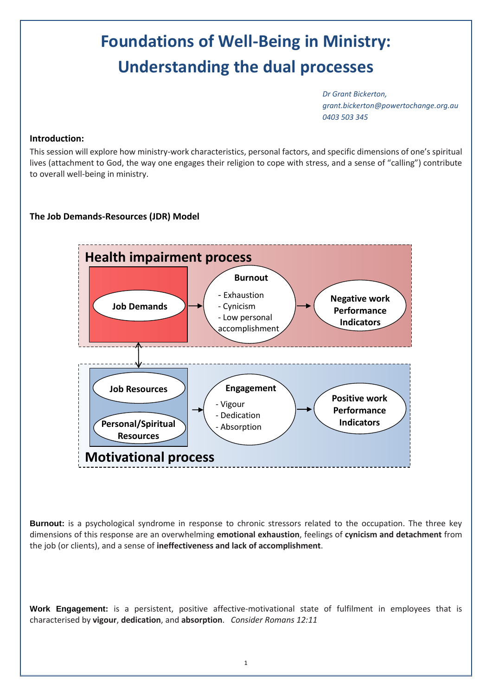# **Foundations of Well-Being in Ministry: Understanding the dual processes**

*Dr Grant Bickerton, grant.bickerton@powertochange.org.au 0403 503 345*

#### **Introduction:**

This session will explore how ministry-work characteristics, personal factors, and specific dimensions of one's spiritual lives (attachment to God, the way one engages their religion to cope with stress, and a sense of "calling") contribute to overall well-being in ministry.

#### **The Job Demands-Resources (JDR) Model**



**Burnout:** is a psychological syndrome in response to chronic stressors related to the occupation. The three key dimensions of this response are an overwhelming **emotional exhaustion**, feelings of **cynicism and detachment** from the job (or clients), and a sense of **ineffectiveness and lack of accomplishment**.

**Work Engagement:** is a persistent, positive affective-motivational state of fulfilment in employees that is characterised by **vigour**, **dedication**, and **absorption**. *Consider Romans 12:11*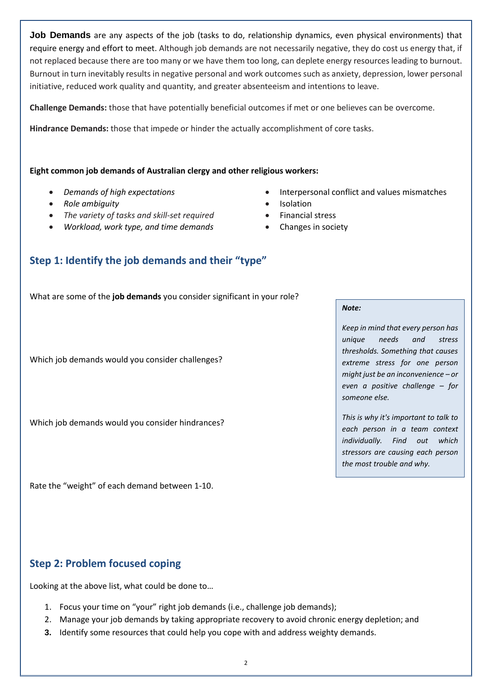**Job Demands** are any aspects of the job (tasks to do, relationship dynamics, even physical environments) that require energy and effort to meet. Although job demands are not necessarily negative, they do cost us energy that, if not replaced because there are too many or we have them too long, can deplete energy resources leading to burnout. Burnout in turn inevitably results in negative personal and work outcomes such as anxiety, depression, lower personal initiative, reduced work quality and quantity, and greater absenteeism and intentions to leave.

**Challenge Demands:** those that have potentially beneficial outcomes if met or one believes can be overcome.

**Hindrance Demands:** those that impede or hinder the actually accomplishment of core tasks.

#### **Eight common job demands of Australian clergy and other religious workers:**

- 
- Role ambiguity **and a struck and a struck and a struck and a struck and a struck and a struck and a struck and a struck and a struck and a struck and a struck and a struck and a struck and a struck and a struck and a str**
- The variety of tasks and skill-set required **•** Financial stress
- Workload, work type, and time demands **•** Changes in society
- *Demands of high expectations*  Interpersonal conflict and values mismatches
	-
	-
	-

### **Step 1: Identify the job demands and their "type"**

What are some of the **job demands** you consider significant in your role?

Which job demands would you consider challenges?

Which job demands would you consider hindrances?

Rate the "weight" of each demand between 1-10.

### **Step 2: Problem focused coping**

Looking at the above list, what could be done to…

- 1. Focus your time on "your" right job demands (i.e., challenge job demands);
- 2. Manage your job demands by taking appropriate recovery to avoid chronic energy depletion; and
- **3.** Identify some resources that could help you cope with and address weighty demands.

2

#### *Note:*

*Keep in mind that every person has unique needs and stress thresholds. Something that causes extreme stress for one person might just be an inconvenience – or even a positive challenge – for someone else.*

*This is why it's important to talk to each person in a team context individually. Find out which stressors are causing each person the most trouble and why.*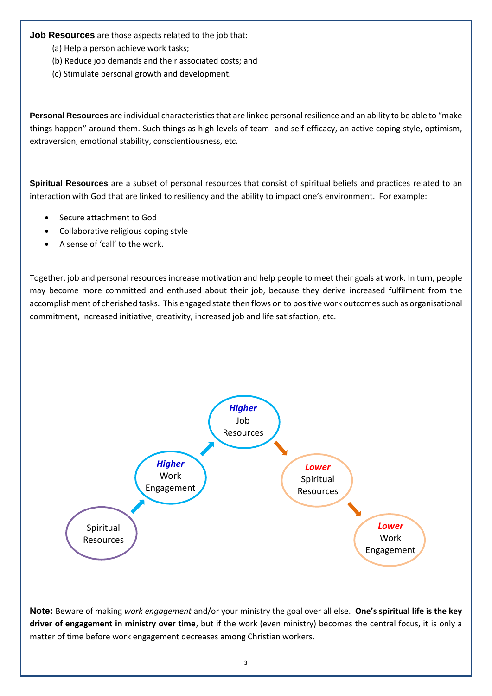**Job Resources** are those aspects related to the job that:

- (a) Help a person achieve work tasks;
- (b) Reduce job demands and their associated costs; and
- (c) Stimulate personal growth and development.

**Personal Resources** are individual characteristics that are linked personal resilience and an ability to be able to "make things happen" around them. Such things as high levels of team- and self-efficacy, an active coping style, optimism, extraversion, emotional stability, conscientiousness, etc.

**Spiritual Resources** are a subset of personal resources that consist of spiritual beliefs and practices related to an interaction with God that are linked to resiliency and the ability to impact one's environment. For example:

- Secure attachment to God
- Collaborative religious coping style
- A sense of 'call' to the work.

Together, job and personal resources increase motivation and help people to meet their goals at work. In turn, people may become more committed and enthused about their job, because they derive increased fulfilment from the accomplishment of cherished tasks. This engaged state then flows on to positive work outcomes such as organisational commitment, increased initiative, creativity, increased job and life satisfaction, etc.



**Note:** Beware of making *work engagement* and/or your ministry the goal over all else. **One's spiritual life is the key driver of engagement in ministry over time**, but if the work (even ministry) becomes the central focus, it is only a matter of time before work engagement decreases among Christian workers.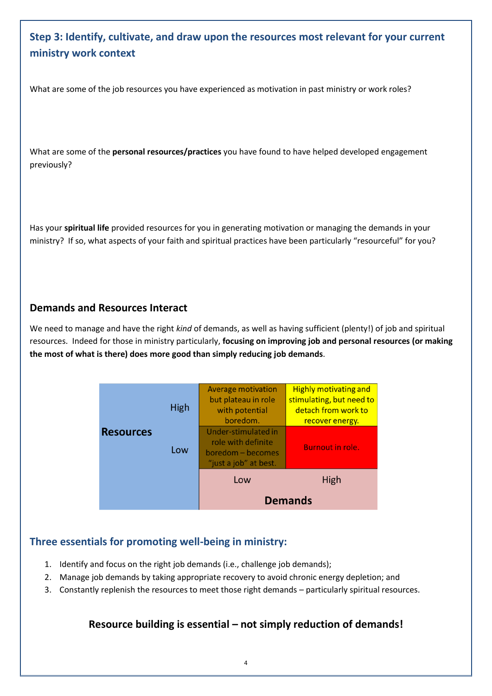## **Step 3: Identify, cultivate, and draw upon the resources most relevant for your current ministry work context**

What are some of the job resources you have experienced as motivation in past ministry or work roles?

What are some of the **personal resources/practices** you have found to have helped developed engagement previously?

Has your **spiritual life** provided resources for you in generating motivation or managing the demands in your ministry? If so, what aspects of your faith and spiritual practices have been particularly "resourceful" for you?

### **Demands and Resources Interact**

We need to manage and have the right *kind* of demands, as well as having sufficient (plenty!) of job and spiritual resources. Indeed for those in ministry particularly, **focusing on improving job and personal resources (or making the most of what is there) does more good than simply reducing job demands**.

|                  |      | High<br>Low<br><b>Demands</b>                                                           |                                                                                                    |
|------------------|------|-----------------------------------------------------------------------------------------|----------------------------------------------------------------------------------------------------|
|                  |      |                                                                                         |                                                                                                    |
| <b>Resources</b> | Low  | Under-stimulated in<br>role with definite<br>boredom - becomes<br>"just a job" at best. | <b>Burnout in role.</b>                                                                            |
|                  | High | <b>Average motivation</b><br>but plateau in role<br>with potential<br>boredom.          | <b>Highly motivating and</b><br>stimulating, but need to<br>detach from work to<br>recover energy. |

## **Three essentials for promoting well-being in ministry:**

- 1. Identify and focus on the right job demands (i.e., challenge job demands);
- 2. Manage job demands by taking appropriate recovery to avoid chronic energy depletion; and
- 3. Constantly replenish the resources to meet those right demands particularly spiritual resources.

## **Resource building is essential – not simply reduction of demands!**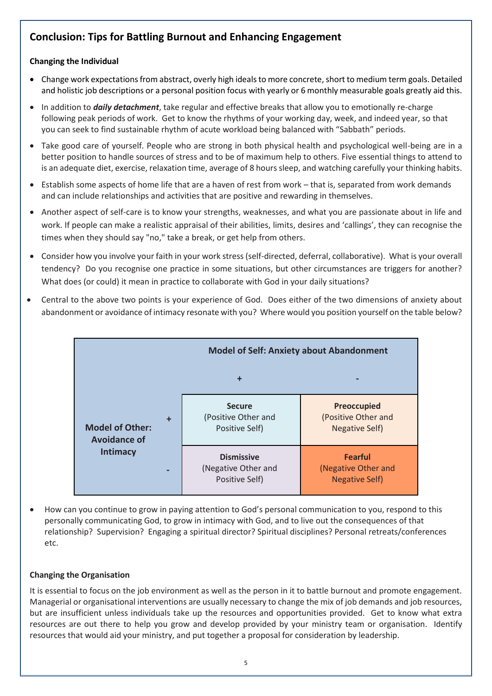## **Conclusion: Tips for Battling Burnout and Enhancing Engagement**

#### **Changing the Individual**

- Change work expectations from abstract, overly high ideals to more concrete, short to medium term goals. Detailed and holistic job descriptions or a personal position focus with yearly or 6 monthly measurable goals greatly aid this.
- In addition to *daily detachment*, take regular and effective breaks that allow you to emotionally re-charge following peak periods of work. Get to know the rhythms of your working day, week, and indeed year, so that you can seek to find sustainable rhythm of acute workload being balanced with "Sabbath" periods.
- Take good care of yourself. People who are strong in both physical health and psychological well-being are in a better position to handle sources of stress and to be of maximum help to others. Five essential things to attend to is an adequate diet, exercise, relaxation time, average of 8 hours sleep, and watching carefully your thinking habits.
- Establish some aspects of home life that are a haven of rest from work that is, separated from work demands and can include relationships and activities that are positive and rewarding in themselves.
- Another aspect of self-care is to know your strengths, weaknesses, and what you are passionate about in life and work. If people can make a realistic appraisal of their abilities, limits, desires and 'callings', they can recognise the times when they should say "no," take a break, or get help from others.
- Consider how you involve your faith in your work stress (self-directed, deferral, collaborative). What is your overall tendency? Do you recognise one practice in some situations, but other circumstances are triggers for another? What does (or could) it mean in practice to collaborate with God in your daily situations?
- Central to the above two points is your experience of God. Does either of the two dimensions of anxiety about abandonment or avoidance of intimacy resonate with you? Where would you position yourself on the table below?



 How can you continue to grow in paying attention to God's personal communication to you, respond to this personally communicating God, to grow in intimacy with God, and to live out the consequences of that relationship? Supervision? Engaging a spiritual director? Spiritual disciplines? Personal retreats/conferences etc.

#### **Changing the Organisation**

It is essential to focus on the job environment as well as the person in it to battle burnout and promote engagement. Managerial or organisational interventions are usually necessary to change the mix of job demands and job resources, but are insufficient unless individuals take up the resources and opportunities provided. Get to know what extra resources are out there to help you grow and develop provided by your ministry team or organisation. Identify resources that would aid your ministry, and put together a proposal for consideration by leadership.